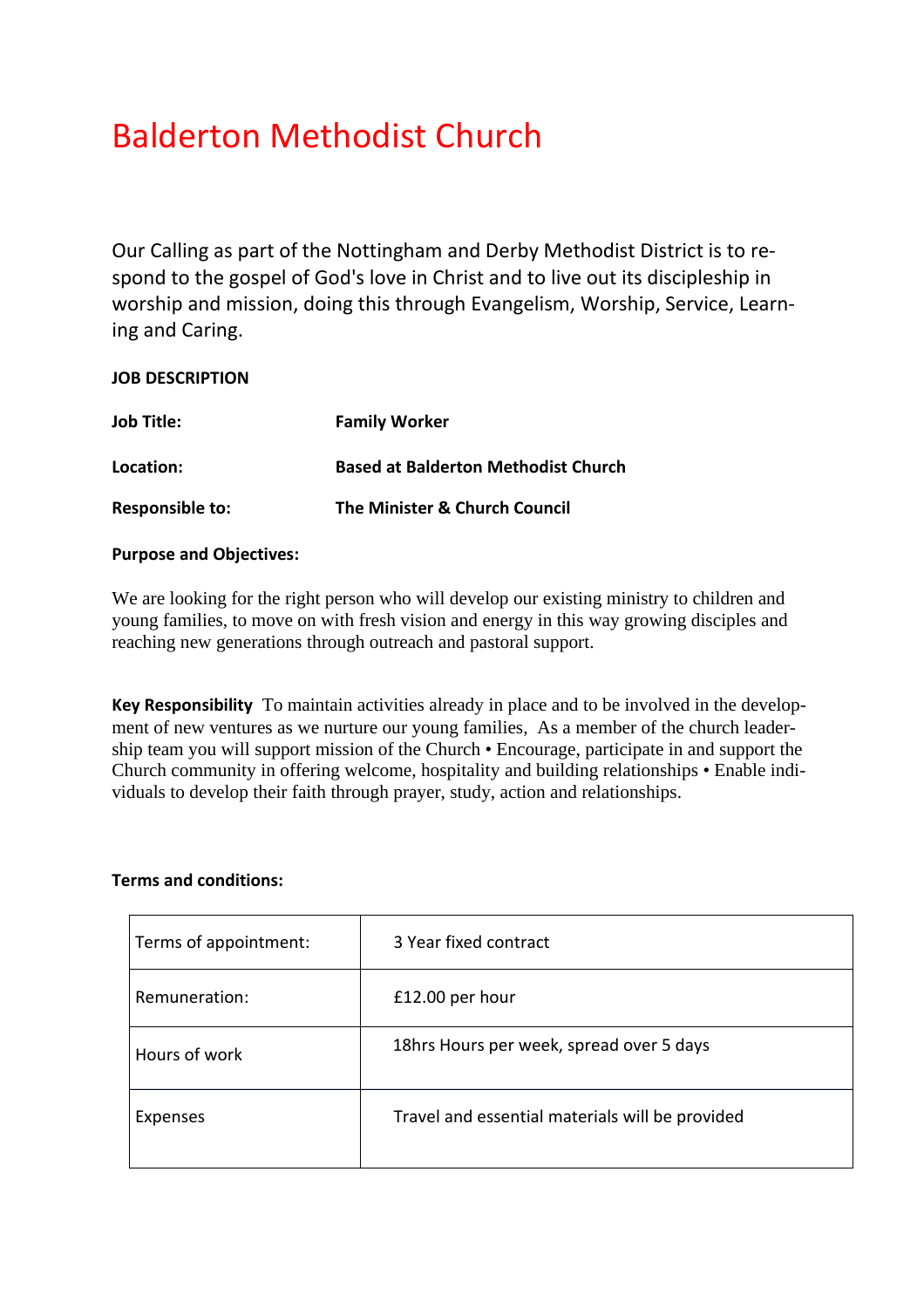# Balderton Methodist Church

Our Calling as part of the Nottingham and Derby Methodist District is to respond to the gospel of God's love in Christ and to live out its discipleship in worship and mission, doing this through Evangelism, Worship, Service, Learning and Caring.

### **JOB DESCRIPTION**

| <b>Job Title:</b>      | <b>Family Worker</b>                       |
|------------------------|--------------------------------------------|
| Location:              | <b>Based at Balderton Methodist Church</b> |
| <b>Responsible to:</b> | The Minister & Church Council              |

#### **Purpose and Objectives:**

We are looking for the right person who will develop our existing ministry to children and young families, to move on with fresh vision and energy in this way growing disciples and reaching new generations through outreach and pastoral support.

**Key Responsibility** To maintain activities already in place and to be involved in the development of new ventures as we nurture our young families, As a member of the church leadership team you will support mission of the Church • Encourage, participate in and support the Church community in offering welcome, hospitality and building relationships • Enable individuals to develop their faith through prayer, study, action and relationships.

#### **Terms and conditions:**

| Terms of appointment: | 3 Year fixed contract                           |
|-----------------------|-------------------------------------------------|
| Remuneration:         | £12.00 per hour                                 |
| Hours of work         | 18hrs Hours per week, spread over 5 days        |
| Expenses              | Travel and essential materials will be provided |